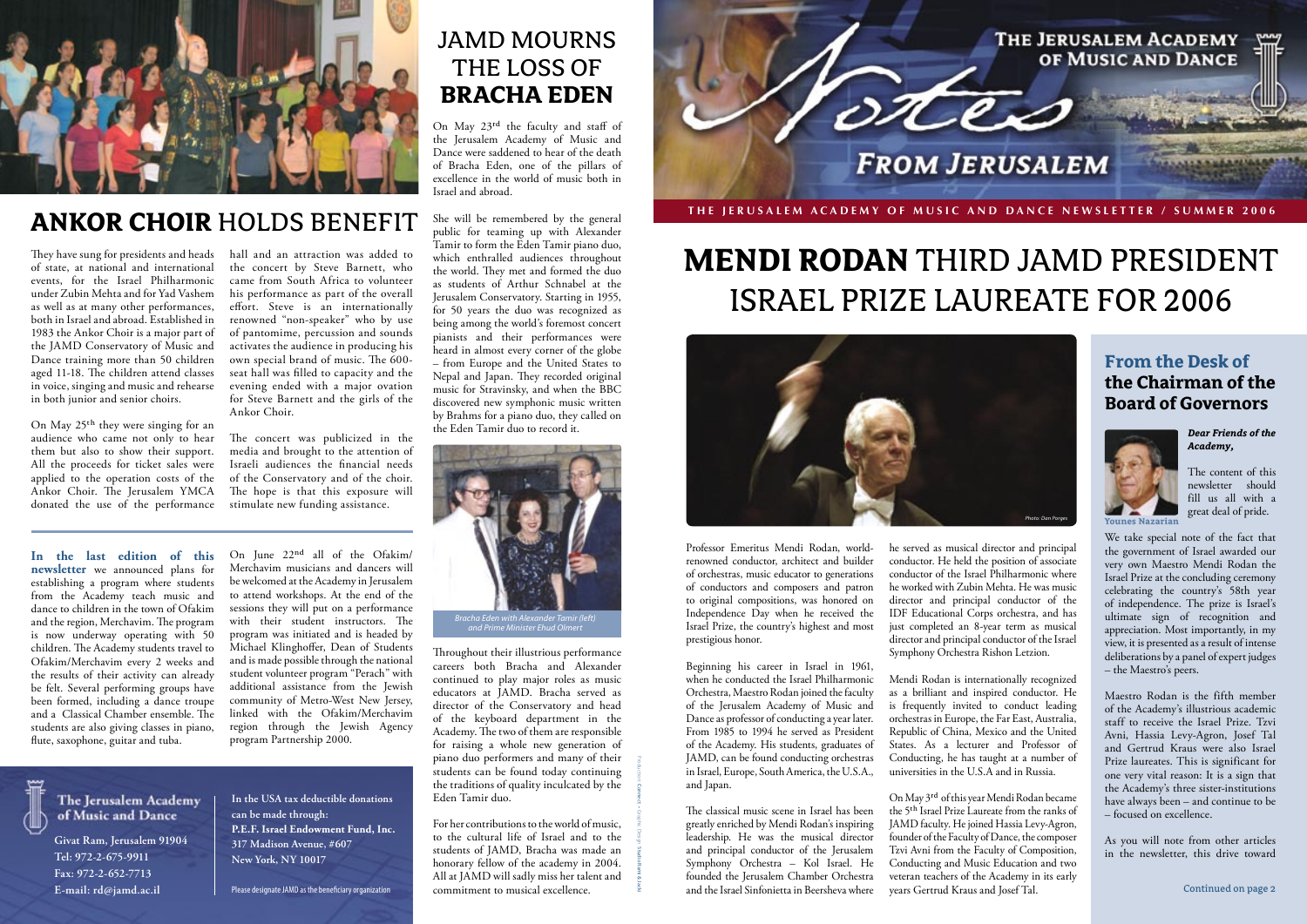

# **MENDI RODAN THIRD JAMD PRESIDENT ISRAEL PRIZE LAUREATE FOR 2006**



renowned conductor, architect and builder Professor Emeritus Mendi Rodan, worldof orchestras, music educator to generations of conductors and composers and patron to original compositions, was honored on Independence Day when he received the Israel Prize, the country's highest and most prestigious honor.

Beginning his career in Israel in 1961, when he conducted the Israel Philharmonic Orchestra, Maestro Rodan joined the faculty of the Ierusalem Academy of Music and Dance as professor of conducting a year later. From  $1985$  to  $1994$  he served as President of the Academy. His students, graduates of JAMD, can be found conducting orchestras in Israel, Europe, South America, the U.S.A., and Japan.

The classical music scene in Israel has been greatly enriched by Mendi Rodan's inspiring leadership. He was the musical director and principal conductor of the Jerusalem Symphony Orchestra - Kol Israel. He founded the Jerusalem Chamber Orchestra and the Israel Sinfonietta in Beersheva where he served as musical director and principal  $\frac{1}{2}$  conductor. He held the position of associate conductor of the Israel Philharmonic where he worked with Zubin Mehta. He was music director and principal conductor of the IDF Educational Corps orchestra, and has just completed an 8-year term as musical director and principal conductor of the Israel Symphony Orchestra Rishon Letzion.

Mendi Rodan is internationally recognized as a brilliant and inspired conductor. He is frequently invited to conduct leading orchestras in Europe, the Far East, Australia, Republic of China, Mexico and the United States. As a lecturer and Professor of Conducting, he has taught at a number of universities in the U.S.A and in Russia.

On May 3<sup>rd</sup> of this vear Mendi Rodan became the  $5<sup>th</sup>$  Israel Prize Laureate from the ranks of JAMD faculty. He ioined Hassia Levy-Agron,  $\frac{1}{2}$  founder of the Faculty of Dance, the composer Tzvi Avni from the Faculty of Composition, Conducting and Music Education and two veteran teachers of the Academy in its early **2** vears Gertrud Kraus and Josef Tal. **Continued on page 2** 

In the last edition of this **newsletter** we announced plans for establishing a program where students from the Academy teach music and dance to children in the town of Ofakim and the region, Merchavim. The program is now underway operating with 50 children. The Academy students travel to Ofakim/Merchavim every 2 weeks and the results of their activity can already be felt. Several performing groups have been formed, including a dance troupe and a Classical Chamber ensemble. The students are also giving classes in piano, flute, saxophone, guitar and tuba.

On June 22nd all of the Ofakim/ Merchavim musicians and dancers will be welcomed at the Academy in Jerusalem to attend workshops. At the end of the sessions they will put on a performance with their student instructors. The program was initiated and is headed by Michael Klinghoffer, Dean of Students and is made possible through the national student volunteer program "Perach" with additional assistance from the Jewish community of Metro-West New Jersey, linked with the Ofakim/Merchavim region through the Jewish Agency program Partnership 2000.

The Jerusalem Academy of Music and Dance

**Givat Ram, Jerusalem 91904** Tel: 972-2-675-9911 Fax: 972-2-652-7713 E-mail: rd@jamd.ac.il

In the USA tax deductible donations can be made through: **P.E.F. Israel Endowment Fund, Inc. 317 Madison Avenue, #607 New York, NY 10017** 

Please designate JAMD as the beneficiary organization

#### **From the Desk of the Chairman of the Board of Governors**

#### *Dear Friends of the ,Academy*

The content of this newsletter should fill us all with a great deal of pride.

We take special note of the fact that the government of Israel awarded our very own Maestro Mendi Rodan the Israel Prize at the concluding ceremony celebrating the country's 58th year of independence. The prize is Israel's ultimate sign of recognition and appreciation. Most importantly, in my view, it is presented as a result of intense deliberations by a panel of expert judges  $-$  the Maestro's peers.

Maestro Rodan is the fifth member of the Academy's illustrious academic staff to receive the Israel Prize. Tzvi Avni, Hassia Levy-Agron, Josef Tal and Gertrud Kraus were also Israel Prize laureates. This is significant for one very vital reason: It is a sign that the Academy's three sister-institutions have always been – and continue to be - focused on excellence.

As you will note from other articles in the newsletter, this drive toward



#### **ANKOR CHOIR HOLDS BENEFIT**

They have sung for presidents and heads of state, at national and international events, for the Israel Philharmonic under Zubin Mehta and for Yad Vashem as well as at many other performances, both in Israel and abroad. Established in 1983 the Ankor Choir is a major part of the JAMD Conservatory of Music and Dance training more than 50 children aged 11-18. The children attend classes in voice, singing and music and rehearse in both junior and senior choirs.

On May 25<sup>th</sup> they were singing for an audience who came not only to hear them but also to show their support. All the proceeds for ticket sales were applied to the operation costs of the Ankor Choir. The Jerusalem YMCA donated the use of the performance hall and an attraction was added to the concert by Steve Barnett, who came from South Africa to volunteer his performance as part of the overall  $\overrightarrow{f}$  effort. Steve is an internationally renowned "non-speaker" who by use of pantomime, percussion and sounds activates the audience in producing his own special brand of music. The  $600$ seat hall was filled to capacity and the evening ended with a major ovation for Steve Barnett and the girls of the Ankor Choir.

The concert was publicized in the media and brought to the attention of Israeli audiences the financial needs of the Conservatory and of the choir. The hope is that this exposure will stimulate new funding assistance.

She will be remembered by the general public for teaming up with Alexander Tamir to form the Eden Tamir piano duo, which enthralled audiences throughout the world. They met and formed the duo as students of Arthur Schnabel at the Jerusalem Conservatory. Starting in 1955, for 50 years the duo was recognized as being among the world's foremost concert pianists and their performances were heard in almost every corner of the globe  $-$  from Europe and the United States to - Hom Europe and the United States to music for Stravinsky, and when the BBC discovered new symphonic music written by Brahms for a piano duo, they called on the Eden Tamir duo to record it.

THE LOSS OF

**BRACHA EDEN** 





Throughout their illustrious performance careers both Bracha and Alexander continued to play major roles as music educators at JAMD. Bracha served as director of the Conservatory and head of the keyboard department in the Academy. The two of them are responsible for raising a whole new generation of piano duo performers and many of their  $\frac{1}{1}$  students can be found today continuing the traditions of quality inculcated by the Eden Tamir duo.

For her contributions to the world of music. to the cultural life of Israel and to the students of JAMD, Bracha was made an honorary fellow of the academy in 2004. All at  $\overline{\text{AMD}}$  will sadly miss her talent and commitment to musical excellence.

Production: Connect • Graphic Design: Studio Rami & Jacki